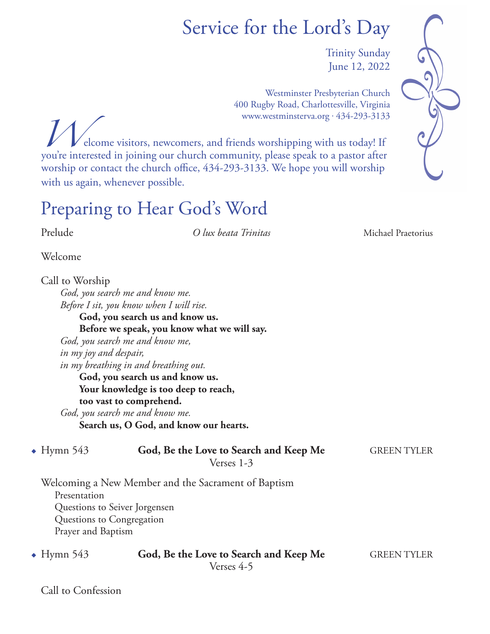# Service for the Lord's Day

Trinity Sunday June 12, 2022

Westminster Presbyterian Church 400 Rugby Road, Charlottesville, Virginia www.westminsterva.org . 434-293-3133

*W*elcome visitors, newcomers, and friends worshipping with us today! If you're interested in joining our church community, please speak to a pastor after worship or contact the church office, 434-293-3133. We hope you will worship with us again, whenever possible.

## Preparing to Hear God's Word

Prelude *O lux beata Trinitas* Michael Praetorius

Welcome

Call to Worship  *God, you search me and know me. Before I sit, you know when I will rise.* **God, you search us and know us. Before we speak, you know what we will say.**  *God, you search me and know me, in my joy and despair, in my breathing in and breathing out.* **God, you search us and know us. Your knowledge is too deep to reach, too vast to comprehend.**  *God, you search me and know me.* **Search us, O God, and know our hearts.**

• Hymn 543 **God, Be the Love to Search and Keep Me** GREEN TYLER Verses 1-3

Welcoming a New Member and the Sacrament of Baptism Presentation Questions to Seiver Jorgensen Questions to Congregation Prayer and Baptism

• Hymn 543 **God, Be the Love to Search and Keep Me** GREEN TYLER Verses 4-5

Call to Confession

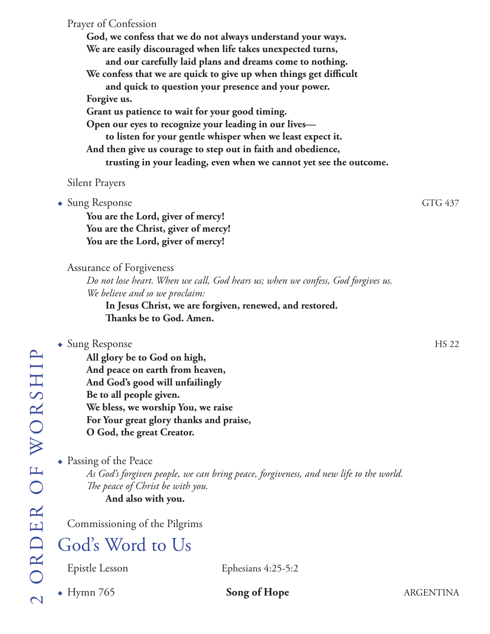Prayer of Confession **God, we confess that we do not always understand your ways. We are easily discouraged when life takes unexpected turns, and our carefully laid plans and dreams come to nothing. We confess that we are quick to give up when things get difficult and quick to question your presence and your power. Forgive us. Grant us patience to wait for your good timing. Open our eyes to recognize your leading in our lives to listen for your gentle whisper when we least expect it. And then give us courage to step out in faith and obedience, trusting in your leading, even when we cannot yet see the outcome.**

#### Silent Prayers

• Sung Response GTG 437

**You are the Lord, giver of mercy! You are the Christ, giver of mercy! You are the Lord, giver of mercy!**

#### Assurance of Forgiveness

 *Do not lose heart. When we call, God hears us; when we confess, God forgives us. We believe and so we proclaim:*

**In Jesus Christ, we are forgiven, renewed, and restored.**  **Thanks be to God. Amen.**

#### • Sung Response HS 22

**All glory be to God on high, And peace on earth from heaven, And God's good will unfailingly Be to all people given. We bless, we worship You, we raise For Your great glory thanks and praise, O God, the great Creator.**

 $\bullet$  Passing of the Peace

*As God's forgiven people, we can bring peace, forgiveness, and new life to the world. The peace of Christ be with you.* **And also with you.**

Commissioning of the Pilgrims

### God's Word to Us

Epistle Lesson Ephesians 4:25-5:2

• Hymn 765 **Song of Hope** ARGENTINA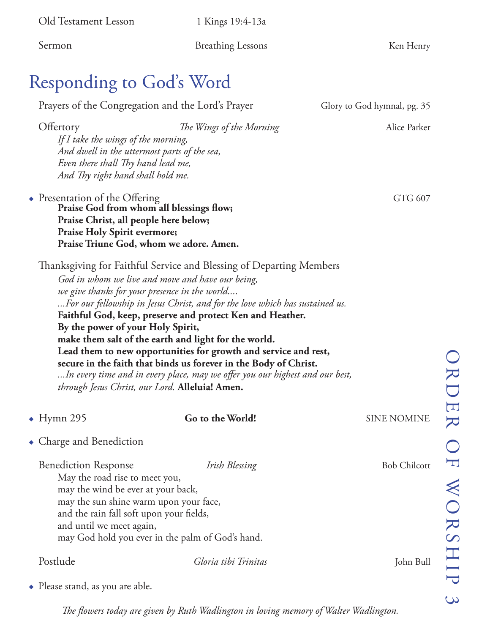| Old Testament Lesson                                                                                                                                                                                                  | 1 Kings 19:4-13a                                                                                                                                                                                                                                                                                                                                                                                                                                                                                                                                    |                             |                                 |
|-----------------------------------------------------------------------------------------------------------------------------------------------------------------------------------------------------------------------|-----------------------------------------------------------------------------------------------------------------------------------------------------------------------------------------------------------------------------------------------------------------------------------------------------------------------------------------------------------------------------------------------------------------------------------------------------------------------------------------------------------------------------------------------------|-----------------------------|---------------------------------|
| Sermon                                                                                                                                                                                                                | <b>Breathing Lessons</b>                                                                                                                                                                                                                                                                                                                                                                                                                                                                                                                            | Ken Henry                   |                                 |
| Responding to God's Word                                                                                                                                                                                              |                                                                                                                                                                                                                                                                                                                                                                                                                                                                                                                                                     |                             |                                 |
| Prayers of the Congregation and the Lord's Prayer                                                                                                                                                                     |                                                                                                                                                                                                                                                                                                                                                                                                                                                                                                                                                     | Glory to God hymnal, pg. 35 |                                 |
| Offertory<br>If I take the wings of the morning,<br>And dwell in the uttermost parts of the sea,<br>Even there shall Thy hand lead me,<br>And Thy right hand shall hold me.                                           | The Wings of the Morning                                                                                                                                                                                                                                                                                                                                                                                                                                                                                                                            | Alice Parker                |                                 |
| • Presentation of the Offering<br>Praise God from whom all blessings flow;<br>Praise Christ, all people here below;<br><b>Praise Holy Spirit evermore;</b><br>Praise Triune God, whom we adore. Amen.                 |                                                                                                                                                                                                                                                                                                                                                                                                                                                                                                                                                     | GTG 607                     |                                 |
| we give thanks for your presence in the world<br>By the power of your Holy Spirit,<br>through Jesus Christ, our Lord. Alleluia! Amen.                                                                                 | Thanksgiving for Faithful Service and Blessing of Departing Members<br>God in whom we live and move and have our being,<br>For our fellowship in Jesus Christ, and for the love which has sustained us.<br>Faithful God, keep, preserve and protect Ken and Heather.<br>make them salt of the earth and light for the world.<br>Lead them to new opportunities for growth and service and rest,<br>secure in the faith that binds us forever in the Body of Christ.<br>In every time and in every place, may we offer you our highest and our best, |                             |                                 |
| $\bullet$ Hymn 295                                                                                                                                                                                                    | Go to the World!                                                                                                                                                                                                                                                                                                                                                                                                                                                                                                                                    | <b>SINE NOMINE</b>          | $\Box$<br>$\blacktriangleright$ |
| • Charge and Benediction                                                                                                                                                                                              |                                                                                                                                                                                                                                                                                                                                                                                                                                                                                                                                                     |                             |                                 |
| <b>Benediction Response</b><br>May the road rise to meet you,<br>may the wind be ever at your back,<br>may the sun shine warm upon your face,<br>and the rain fall soft upon your fields,<br>and until we meet again, | Irish Blessing<br>may God hold you ever in the palm of God's hand.                                                                                                                                                                                                                                                                                                                                                                                                                                                                                  | <b>Bob Chilcott</b>         | WORSHIP                         |
| Postlude                                                                                                                                                                                                              | Gloria tibi Trinitas                                                                                                                                                                                                                                                                                                                                                                                                                                                                                                                                | John Bull                   |                                 |
| $\bullet$ Please stand, as you are able.                                                                                                                                                                              |                                                                                                                                                                                                                                                                                                                                                                                                                                                                                                                                                     |                             | $\mathcal{C}$                   |

*The flowers today are given by Ruth Wadlington in loving memory of Walter Wadlington.*